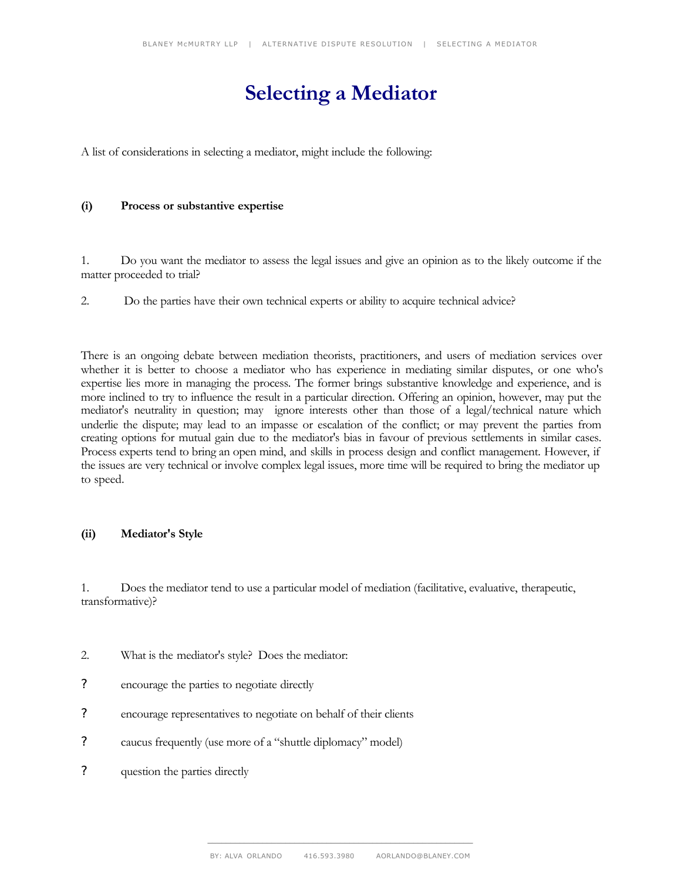# **Selecting a Mediator**

A list of considerations in selecting a mediator, might include the following:

#### **(i) Process or substantive expertise**

1. Do you want the mediator to assess the legal issues and give an opinion as to the likely outcome if the matter proceeded to trial?

2. Do the parties have their own technical experts or ability to acquire technical advice?

There is an ongoing debate between mediation theorists, practitioners, and users of mediation services over whether it is better to choose a mediator who has experience in mediating similar disputes, or one who's expertise lies more in managing the process. The former brings substantive knowledge and experience, and is more inclined to try to influence the result in a particular direction. Offering an opinion, however, may put the mediator's neutrality in question; may ignore interests other than those of a legal/technical nature which underlie the dispute; may lead to an impasse or escalation of the conflict; or may prevent the parties from creating options for mutual gain due to the mediator's bias in favour of previous settlements in similar cases. Process experts tend to bring an open mind, and skills in process design and conflict management. However, if the issues are very technical or involve complex legal issues, more time will be required to bring the mediator up to speed.

#### **(ii) Mediator's Style**

1. Does the mediator tend to use a particular model of mediation (facilitative, evaluative, therapeutic, transformative)?

- 2. What is the mediator's style? Does the mediator:
- ? encourage the parties to negotiate directly
- ? encourage representatives to negotiate on behalf of their clients
- ? caucus frequently (use more of a "shuttle diplomacy" model)
- ? question the parties directly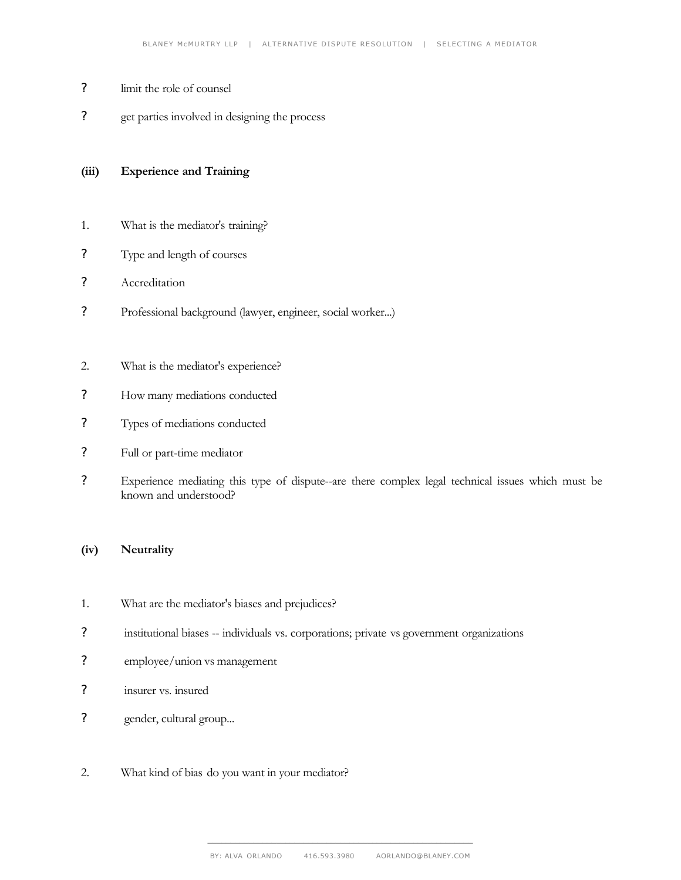- ? limit the role of counsel
- ? get parties involved in designing the process

### **(iii) Experience and Training**

- 1. What is the mediator's training?
- ? Type and length of courses
- ? Accreditation
- ? Professional background (lawyer, engineer, social worker...)
- 2. What is the mediator's experience?
- ? How many mediations conducted
- ? Types of mediations conducted
- ? Full or part-time mediator
- ? Experience mediating this type of dispute--are there complex legal technical issues which must be known and understood?

# **(iv) Neutrality**

- 1. What are the mediator's biases and prejudices?
- ? institutional biases -- individuals vs. corporations; private vs government organizations
- ? employee/union vs management
- ? insurer vs. insured
- ? gender, cultural group...
- 2. What kind of bias do you want in your mediator?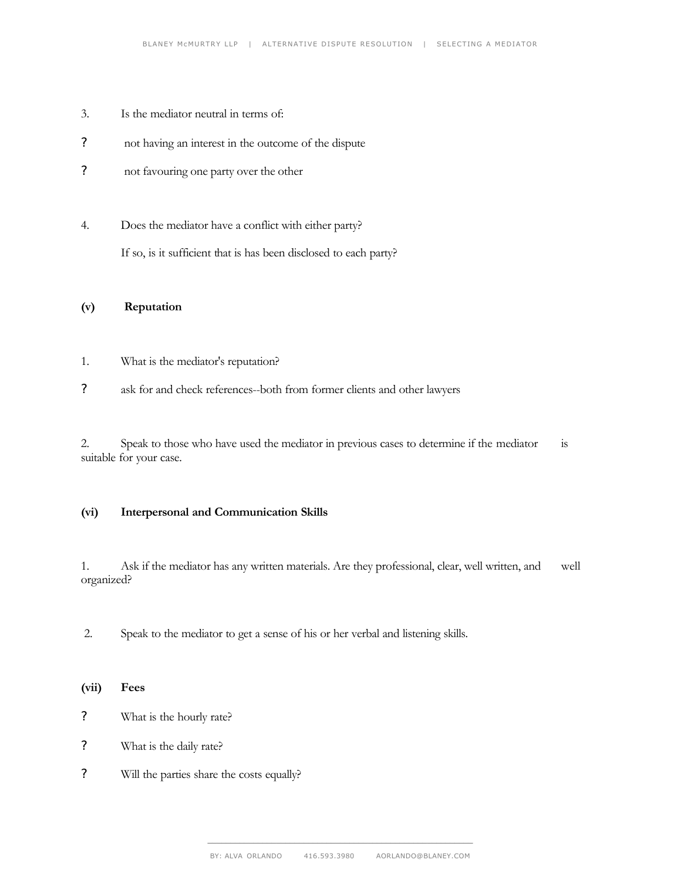- 3. Is the mediator neutral in terms of:
- ? not having an interest in the outcome of the dispute
- ? not favouring one party over the other
- 4. Does the mediator have a conflict with either party? If so, is it sufficient that is has been disclosed to each party?

### **(v) Reputation**

- 1. What is the mediator's reputation?
- ? ask for and check references--both from former clients and other lawyers

2. Speak to those who have used the mediator in previous cases to determine if the mediator is suitable for your case.

## **(vi) Interpersonal and Communication Skills**

1. Ask if the mediator has any written materials. Are they professional, clear, well written, and well organized?

2. Speak to the mediator to get a sense of his or her verbal and listening skills.

**(vii) Fees**

- ? What is the hourly rate?
- ? What is the daily rate?
- ? Will the parties share the costs equally?